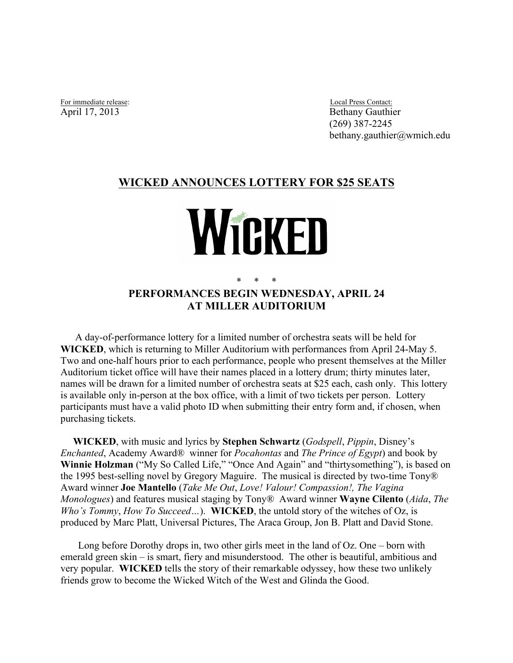For immediate release: Local Press Contact: April 17, 2013

Bethany Gauthier (269) 387-2245 bethany.gauthier@wmich.edu

## **WICKED ANNOUNCES LOTTERY FOR \$25 SEATS**

## Wicken

## \* \* \* **PERFORMANCES BEGIN WEDNESDAY, APRIL 24 AT MILLER AUDITORIUM**

A day-of-performance lottery for a limited number of orchestra seats will be held for **WICKED**, which is returning to Miller Auditorium with performances from April 24-May 5. Two and one-half hours prior to each performance, people who present themselves at the Miller Auditorium ticket office will have their names placed in a lottery drum; thirty minutes later, names will be drawn for a limited number of orchestra seats at \$25 each, cash only. This lottery is available only in-person at the box office, with a limit of two tickets per person. Lottery participants must have a valid photo ID when submitting their entry form and, if chosen, when purchasing tickets.

 the 1995 best-selling novel by Gregory Maguire. The musical is directed by two-time Tony® Award winner **Joe Mantello** (*Take Me Out*, *Love! Valour! Compassion!, The Vagina Monologues*) and features musical staging by Tony® Award winner **Wayne Cilento** (*Aida*, *The*  **WICKED**, with music and lyrics by **Stephen Schwartz** (*Godspell*, *Pippin*, Disney's *Enchanted*, Academy Award® winner for *Pocahontas* and *The Prince of Egypt*) and book by **Winnie Holzman** ("My So Called Life," "Once And Again" and "thirtysomething"), is based on *Who's Tommy*, *How To Succeed…*). **WICKED**, the untold story of the witches of Oz, is produced by Marc Platt, Universal Pictures, The Araca Group, Jon B. Platt and David Stone.

 emerald green skin – is smart, fiery and misunderstood. The other is beautiful, ambitious and Long before Dorothy drops in, two other girls meet in the land of Oz. One – born with very popular. **WICKED** tells the story of their remarkable odyssey, how these two unlikely friends grow to become the Wicked Witch of the West and Glinda the Good.